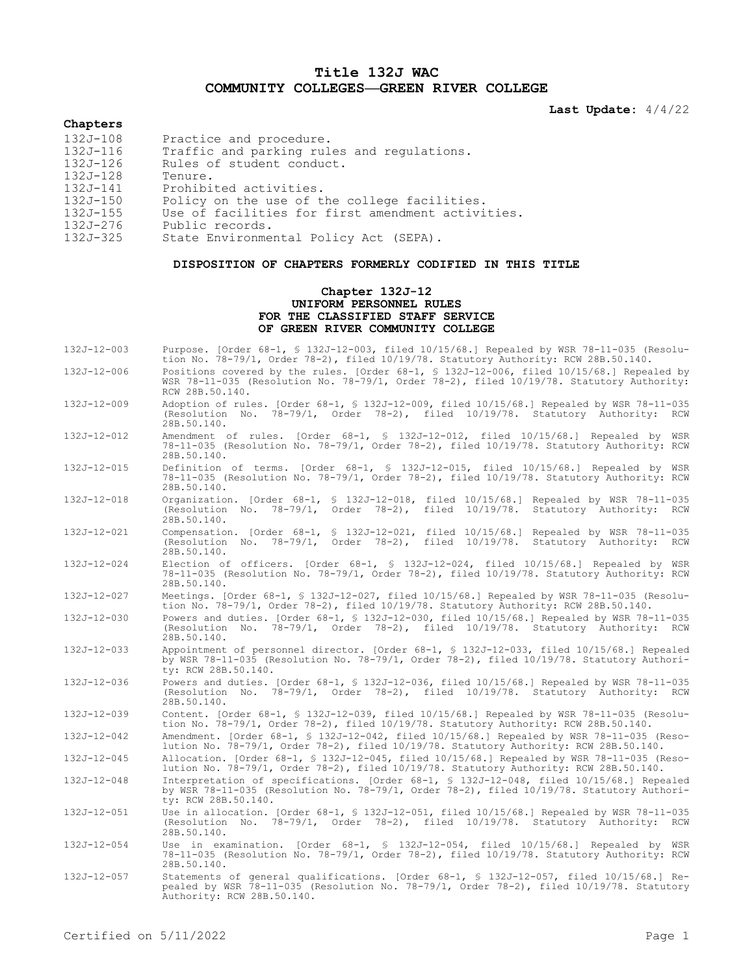# **Title 132J WAC COMMUNITY COLLEGES—GREEN RIVER COLLEGE**

**Last Update:** 4/4/22

# **Chapters**

| 132J-108<br>Practice and procedure.                           |  |
|---------------------------------------------------------------|--|
| 132J-116<br>Traffic and parking rules and regulations.        |  |
| $132J - 126$<br>Rules of student conduct.                     |  |
| 132J-128<br>Tenure.                                           |  |
| 132J-141<br>Prohibited activities.                            |  |
| $132J - 150$<br>Policy on the use of the college facilities.  |  |
| Use of facilities for first amendment activities.<br>132J-155 |  |
| 132J-276<br>Public records.                                   |  |
| $132J - 325$<br>State Environmental Policy Act (SEPA).        |  |

# **DISPOSITION OF CHAPTERS FORMERLY CODIFIED IN THIS TITLE**

# **Chapter 132J-12 UNIFORM PERSONNEL RULES FOR THE CLASSIFIED STAFF SERVICE OF GREEN RIVER COMMUNITY COLLEGE**

| $132J - 12 - 003$ | Purpose. [Order 68-1, § 132J-12-003, filed 10/15/68.] Repealed by WSR 78-11-035 (Resolu-<br>tion No. 78-79/1, Order 78-2), filed $10/19/78$ . Statutory Authority: RCW 28B.50.140.                              |
|-------------------|-----------------------------------------------------------------------------------------------------------------------------------------------------------------------------------------------------------------|
| 132J-12-006       | Positions covered by the rules. [Order 68-1, § 132J-12-006, filed 10/15/68.] Repealed by<br>WSR 78-11-035 (Resolution No. 78-79/1, Order 78-2), filed 10/19/78. Statutory Authority:<br>RCW 28B.50.140.         |
| $132J - 12 - 009$ | Adoption of rules. [Order 68-1, § 132J-12-009, filed 10/15/68.] Repealed by WSR 78-11-035<br>(Resolution No. 78-79/1, Order 78-2), filed 10/19/78. Statutory Authority: RCW<br>28B.50.140.                      |
| 132J-12-012       | Amendment of rules. [Order 68-1, § 132J-12-012, filed 10/15/68.] Repealed by WSR<br>78-11-035 (Resolution No. 78-79/1, Order 78-2), filed 10/19/78. Statutory Authority: RCW<br>28B.50.140.                     |
| 132J-12-015       | Definition of terms. [Order 68-1, § 132J-12-015, filed 10/15/68.] Repealed by WSR<br>78-11-035 (Resolution No. 78-79/1, Order 78-2), filed 10/19/78. Statutory Authority: RCW<br>28B.50.140.                    |
| 132J-12-018       | Organization. [Order 68-1, § 132J-12-018, filed 10/15/68.] Repealed by WSR 78-11-035<br>(Resolution No. 78-79/1, Order 78-2), filed 10/19/78.<br>Statutory Authority: RCW<br>28B.50.140.                        |
| 132J-12-021       | Compensation. [Order 68-1, § 132J-12-021, filed 10/15/68.] Repealed by WSR 78-11-035<br>(Resolution No. 78-79/1, Order 78-2), filed 10/19/78. Statutory Authority: RCW<br>28B.50.140.                           |
| $132J - 12 - 024$ | Election of officers. [Order 68-1, § 132J-12-024, filed 10/15/68.] Repealed by WSR<br>78-11-035 (Resolution No. 78-79/1, Order 78-2), filed 10/19/78. Statutory Authority: RCW<br>28B.50.140.                   |
| 132J-12-027       | Meetings. [Order 68-1, § 132J-12-027, filed 10/15/68.] Repealed by WSR 78-11-035 (Resolu-<br>tion No. 78-79/1, Order 78-2), filed 10/19/78. Statutory Authority: RCW 28B.50.140.                                |
| 132J-12-030       | Powers and duties. [Order 68-1, § 132J-12-030, filed 10/15/68.] Repealed by WSR 78-11-035<br>(Resolution No. 78-79/1, Order 78-2), filed 10/19/78. Statutory Authority: RCW<br>28B.50.140.                      |
| $132J - 12 - 033$ | Appointment of personnel director. [Order 68-1, § 132J-12-033, filed 10/15/68.] Repealed<br>by WSR 78-11-035 (Resolution No. 78-79/1, Order 78-2), filed 10/19/78. Statutory Authori-<br>ty: RCW 28B.50.140.    |
| 132J-12-036       | Powers and duties. [Order 68-1, § 132J-12-036, filed 10/15/68.] Repealed by WSR 78-11-035<br>(Resolution No. 78-79/1, Order 78-2), filed 10/19/78. Statutory Authority: RCW<br>28B.50.140.                      |
| 132J-12-039       | Content. [Order 68-1, \$ 132J-12-039, filed 10/15/68.] Repealed by WSR 78-11-035 (Resolu-<br>tion No. 78-79/1, Order 78-2), filed 10/19/78. Statutory Authority: RCW 28B.50.140.                                |
| 132J-12-042       | Amendment. [Order 68-1, § 132J-12-042, filed 10/15/68.] Repealed by WSR 78-11-035 (Reso-<br>lution No. 78-79/1, Order 78-2), filed 10/19/78. Statutory Authority: RCW 28B.50.140.                               |
| $132J - 12 - 045$ | Allocation. [Order 68-1, § 132J-12-045, filed 10/15/68.] Repealed by WSR 78-11-035 (Reso-<br>lution No. 78-79/1, Order 78-2), filed 10/19/78. Statutory Authority: RCW 28B.50.140.                              |
| $132J - 12 - 048$ | Interpretation of specifications. [Order 68-1, § 132J-12-048, filed 10/15/68.] Repealed<br>by WSR 78-11-035 (Resolution No. 78-79/1, Order 78-2), filed 10/19/78. Statutory Authori-<br>ty: RCW 28B.50.140.     |
| 132J-12-051       | Use in allocation. [Order 68-1, § 132J-12-051, filed 10/15/68.] Repealed by WSR 78-11-035<br>(Resolution No. 78-79/1, Order 78-2), filed 10/19/78. Statutory Authority: RCW<br>28B.50.140.                      |
| 132J-12-054       | Use in examination. [Order 68-1, § 132J-12-054, filed 10/15/68.] Repealed by WSR<br>78-11-035 (Resolution No. 78-79/1, Order 78-2), filed 10/19/78. Statutory Authority: RCW<br>28B.50.140.                     |
| 132J-12-057       | Statements of general qualifications. [Order 68-1, § 132J-12-057, filed 10/15/68.] Re-<br>pealed by WSR 78-11-035 (Resolution No. 78-79/1, Order 78-2), filed 10/19/78. Statutory<br>Authority: RCW 28B.50.140. |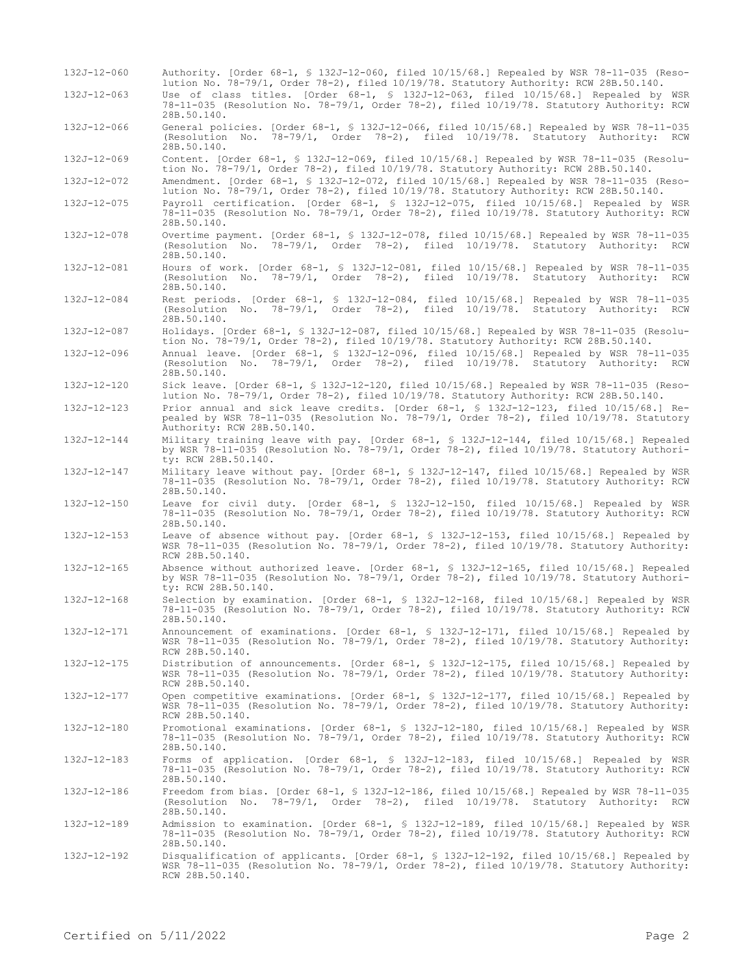| 132J-12-060       | Authority. [Order 68-1, \$ 132J-12-060, filed 10/15/68.] Repealed by WSR 78-11-035 (Reso-<br>lution No. 78-79/1, Order 78-2), filed 10/19/78. Statutory Authority: RCW 28B.50.140.                                |
|-------------------|-------------------------------------------------------------------------------------------------------------------------------------------------------------------------------------------------------------------|
| 132J-12-063       | Use of class titles. [Order 68-1, § 132J-12-063, filed 10/15/68.] Repealed by WSR<br>78-11-035 (Resolution No. 78-79/1, Order 78-2), filed 10/19/78. Statutory Authority: RCW<br>28B.50.140.                      |
| 132J-12-066       | General policies. [Order 68-1, § 132J-12-066, filed 10/15/68.] Repealed by WSR 78-11-035<br>(Resolution No. 78-79/1, Order 78-2), filed 10/19/78. Statutory Authority: RCW<br>28B.50.140.                         |
| 132J-12-069       | Content. [Order 68-1, \$ 132J-12-069, filed 10/15/68.] Repealed by WSR 78-11-035 (Resolu-<br>tion No. 78-79/1, Order 78-2), filed $10/19/78$ . Statutory Authority: RCW 28B.50.140.                               |
| 132J-12-072       | Amendment. [Order 68-1, § 132J-12-072, filed 10/15/68.] Repealed by WSR 78-11-035 (Reso-<br>lution No. 78-79/1, Order 78-2), filed 10/19/78. Statutory Authority: RCW 28B.50.140.                                 |
| 132J-12-075       | Payroll certification. [Order 68-1, § 132J-12-075, filed 10/15/68.] Repealed by WSR<br>78-11-035 (Resolution No. 78-79/1, Order 78-2), filed 10/19/78. Statutory Authority: RCW<br>28B.50.140.                    |
| 132J-12-078       | Overtime payment. [Order 68-1, § 132J-12-078, filed 10/15/68.] Repealed by WSR 78-11-035<br>(Resolution No. 78-79/1, Order 78-2), filed 10/19/78. Statutory Authority: RCW<br>28B.50.140.                         |
| 132J-12-081       | Hours of work. [Order 68-1, § 132J-12-081, filed 10/15/68.] Repealed by WSR 78-11-035<br>(Resolution No. 78-79/1, Order 78-2), filed 10/19/78. Statutory Authority: RCW<br>28B.50.140.                            |
| 132J-12-084       | Rest periods. [Order 68-1, § 132J-12-084, filed 10/15/68.] Repealed by WSR 78-11-035<br>(Resolution No. 78-79/1, Order 78-2), filed 10/19/78. Statutory Authority: RCW<br>28B.50.140.                             |
| 132J-12-087       | Holidays. [Order 68-1, § 132J-12-087, filed 10/15/68.] Repealed by WSR 78-11-035 (Resolu-<br>tion No. 78-79/1, Order 78-2), filed $10/19/78$ . Statutory Authority: RCW 28B.50.140.                               |
| 132J-12-096       | Annual leave. [Order 68-1, § 132J-12-096, filed 10/15/68.] Repealed by WSR 78-11-035<br>(Resolution No. 78-79/1, Order 78-2), filed 10/19/78. Statutory Authority: RCW<br>28B.50.140.                             |
| 132J-12-120       | Sick leave. [Order 68-1, § 132J-12-120, filed 10/15/68.] Repealed by WSR 78-11-035 (Reso-<br>lution No. 78-79/1, Order 78-2), filed 10/19/78. Statutory Authority: RCW 28B.50.140.                                |
| $132J - 12 - 123$ | Prior annual and sick leave credits. [Order 68-1, § 132J-12-123, filed 10/15/68.] Re-<br>pealed by WSR 78-11-035 (Resolution No. 78-79/1, Order 78-2), filed $10/19/78$ . Statutory<br>Authority: RCW 28B.50.140. |
| 132J-12-144       | Military training leave with pay. [Order 68-1, § 132J-12-144, filed 10/15/68.] Repealed<br>by WSR 78-11-035 (Resolution No. 78-79/1, Order 78-2), filed $10/19/78$ . Statutory Authori-<br>ty: RCW 28B.50.140.    |
| 132J-12-147       | Military leave without pay. [Order 68-1, § 132J-12-147, filed 10/15/68.] Repealed by WSR<br>78-11-035 (Resolution No. 78-79/1, Order 78-2), filed 10/19/78. Statutory Authority: RCW<br>28B.50.140.               |
| 132J-12-150       | Leave for civil duty. [Order 68-1, § 132J-12-150, filed 10/15/68.] Repealed by WSR<br>78-11-035 (Resolution No. 78-79/1, Order 78-2), filed 10/19/78. Statutory Authority: RCW<br>28B.50.140.                     |
| 132J-12-153       | Leave of absence without pay. [Order $68-1$ , \$ 132J-12-153, filed $10/15/68$ .] Repealed by<br>WSR 78-11-035 (Resolution No. 78-79/1, Order 78-2), filed 10/19/78. Statutory Authority:<br>RCW 28B.50.140.      |
| $132J - 12 - 165$ | Absence without authorized leave. [Order 68-1, § 132J-12-165, filed 10/15/68.] Repealed<br>by WSR 78-11-035 (Resolution No. 78-79/1, Order 78-2), filed 10/19/78. Statutory Authori-<br>ty: RCW 28B.50.140.       |
| 132J-12-168       | Selection by examination. [Order 68-1, § 132J-12-168, filed 10/15/68.] Repealed by WSR<br>78-11-035 (Resolution No. 78-79/1, Order 78-2), filed 10/19/78. Statutory Authority: RCW<br>28B.50.140.                 |
| 132J-12-171       | Announcement of examinations. [Order 68-1, § 132J-12-171, filed 10/15/68.] Repealed by<br>WSR 78-11-035 (Resolution No. 78-79/1, Order 78-2), filed 10/19/78. Statutory Authority:<br>RCW 28B.50.140.             |
| 132J-12-175       | Distribution of announcements. [Order 68-1, § 132J-12-175, filed 10/15/68.] Repealed by<br>WSR 78-11-035 (Resolution No. 78-79/1, Order 78-2), filed 10/19/78. Statutory Authority:<br>RCW 28B.50.140.            |
| 132J-12-177       | Open competitive examinations. [Order 68-1, \$ 132J-12-177, filed 10/15/68.] Repealed by<br>WSR 78-11-035 (Resolution No. 78-79/1, Order 78-2), filed 10/19/78. Statutory Authority:<br>RCW 28B.50.140.           |
| 132J-12-180       | Promotional examinations. [Order 68-1, § 132J-12-180, filed 10/15/68.] Repealed by WSR<br>78-11-035 (Resolution No. 78-79/1, Order 78-2), filed 10/19/78. Statutory Authority: RCW<br>28B.50.140.                 |
| 132J-12-183       | Forms of application. [Order 68-1, § 132J-12-183, filed 10/15/68.] Repealed by WSR<br>78-11-035 (Resolution No. 78-79/1, Order 78-2), filed 10/19/78. Statutory Authority: RCW<br>28B.50.140.                     |
| 132J-12-186       | Freedom from bias. [Order 68-1, § 132J-12-186, filed 10/15/68.] Repealed by WSR 78-11-035<br>(Resolution No. 78-79/1, Order 78-2), filed 10/19/78. Statutory Authority: RCW<br>28B.50.140.                        |
| 132J-12-189       | Admission to examination. [Order 68-1, § 132J-12-189, filed 10/15/68.] Repealed by WSR<br>78-11-035 (Resolution No. 78-79/1, Order 78-2), filed 10/19/78. Statutory Authority: RCW<br>28B.50.140.                 |
| 132J-12-192       | Disqualification of applicants. [Order 68-1, § 132J-12-192, filed 10/15/68.] Repealed by<br>WSR 78-11-035 (Resolution No. 78-79/1, Order 78-2), filed 10/19/78. Statutory Authority:<br>RCW 28B.50.140.           |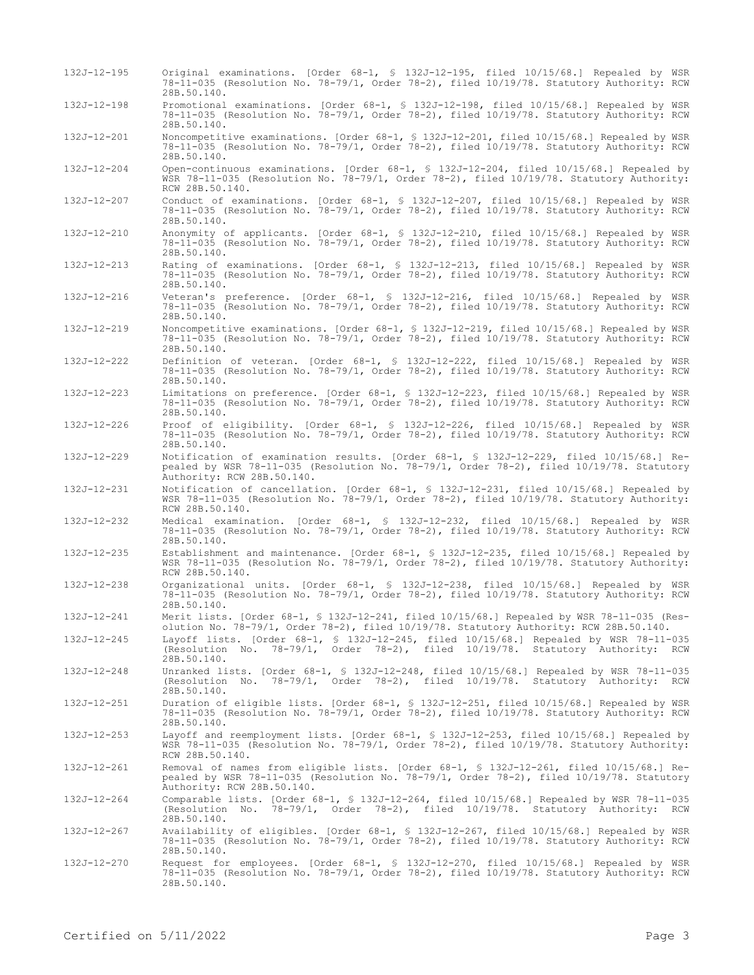| 132J-12-195       | Original examinations. [Order 68-1, § 132J-12-195, filed 10/15/68.] Repealed by WSR<br>78-11-035 (Resolution No. 78-79/1, Order 78-2), filed 10/19/78. Statutory Authority: RCW<br>28B.50.140.                  |
|-------------------|-----------------------------------------------------------------------------------------------------------------------------------------------------------------------------------------------------------------|
| $132J - 12 - 198$ | Promotional examinations. [Order 68-1, § 132J-12-198, filed 10/15/68.] Repealed by WSR<br>78-11-035 (Resolution No. 78-79/1, Order 78-2), filed 10/19/78. Statutory Authority: RCW<br>28B.50.140.               |
| $132J - 12 - 201$ | Noncompetitive examinations. [Order 68-1, § 132J-12-201, filed 10/15/68.] Repealed by WSR<br>78-11-035 (Resolution No. 78-79/1, Order 78-2), filed 10/19/78. Statutory Authority: RCW<br>28B.50.140.            |
| 132J-12-204       | Open-continuous examinations. [Order 68-1, § 132J-12-204, filed 10/15/68.] Repealed by<br>WSR 78-11-035 (Resolution No. 78-79/1, Order 78-2), filed 10/19/78. Statutory Authority:<br>RCW 28B.50.140.           |
| 132J-12-207       | Conduct of examinations. [Order 68-1, § 132J-12-207, filed 10/15/68.] Repealed by WSR<br>78-11-035 (Resolution No. 78-79/1, Order 78-2), filed 10/19/78. Statutory Authority: RCW<br>28B.50.140.                |
| 132J-12-210       | Anonymity of applicants. [Order 68-1, § 132J-12-210, filed 10/15/68.] Repealed by WSR<br>78-11-035 (Resolution No. 78-79/1, Order 78-2), filed 10/19/78. Statutory Authority: RCW<br>28B.50.140.                |
| $132J - 12 - 213$ | Rating of examinations. [Order 68-1, § 132J-12-213, filed 10/15/68.] Repealed by WSR<br>78-11-035 (Resolution No. 78-79/1, Order 78-2), filed 10/19/78. Statutory Authority: RCW<br>28B.50.140.                 |
| 132J-12-216       | Veteran's preference. [Order 68-1, § 132J-12-216, filed 10/15/68.] Repealed by WSR<br>78-11-035 (Resolution No. 78-79/1, Order 78-2), filed 10/19/78. Statutory Authority: RCW<br>28B.50.140.                   |
| 132J-12-219       | Noncompetitive examinations. [Order 68-1, § 132J-12-219, filed 10/15/68.] Repealed by WSR<br>78-11-035 (Resolution No. 78-79/1, Order 78-2), filed 10/19/78. Statutory Authority: RCW<br>28B.50.140.            |
| 132J-12-222       | Definition of veteran. [Order 68-1, § 132J-12-222, filed 10/15/68.] Repealed by WSR<br>78-11-035 (Resolution No. 78-79/1, Order 78-2), filed 10/19/78. Statutory Authority: RCW<br>28B.50.140.                  |
| $132J - 12 - 223$ | Limitations on preference. [Order 68-1, § 132J-12-223, filed 10/15/68.] Repealed by WSR<br>78-11-035 (Resolution No. 78-79/1, Order 78-2), filed 10/19/78. Statutory Authority: RCW<br>28B.50.140.              |
| 132J-12-226       | Proof of eligibility. [Order 68-1, § 132J-12-226, filed 10/15/68.] Repealed by WSR<br>78-11-035 (Resolution No. 78-79/1, Order 78-2), filed 10/19/78. Statutory Authority: RCW<br>28B.50.140.                   |
| 132J-12-229       | Notification of examination results. [Order 68-1, § 132J-12-229, filed 10/15/68.] Re-<br>pealed by WSR 78-11-035 (Resolution No. 78-79/1, Order 78-2), filed 10/19/78. Statutory<br>Authority: RCW 28B.50.140.  |
| 132J-12-231       | Notification of cancellation. [Order 68-1, § 132J-12-231, filed 10/15/68.] Repealed by<br>WSR 78-11-035 (Resolution No. 78-79/1, Order 78-2), filed 10/19/78. Statutory Authority:<br>RCW 28B.50.140.           |
| 132J-12-232       | Medical examination. [Order 68-1, § 132J-12-232, filed 10/15/68.] Repealed by WSR<br>78-11-035 (Resolution No. 78-79/1, Order 78-2), filed 10/19/78. Statutory Authority: RCW<br>28B.50.140.                    |
| $132J - 12 - 235$ | Establishment and maintenance. [Order 68-1, § 132J-12-235, filed 10/15/68.] Repealed by<br>WSR 78-11-035 (Resolution No. 78-79/1, Order 78-2), filed 10/19/78. Statutory Authority:<br>RCW 28B.50.140.          |
| $132J - 12 - 238$ | Organizational units. [Order 68-1, § 132J-12-238, filed 10/15/68.] Repealed by WSR<br>78-11-035 (Resolution No. 78-79/1, Order 78-2), filed 10/19/78. Statutory Authority: RCW<br>28B.50.140.                   |
| 132J-12-241       | Merit lists. [Order 68-1, \$ 132J-12-241, filed 10/15/68.] Repealed by WSR 78-11-035 (Res-<br>olution No. 78-79/1, Order 78-2), filed 10/19/78. Statutory Authority: RCW 28B.50.140.                            |
| 132J-12-245       | Layoff lists. [Order 68-1, § 132J-12-245, filed 10/15/68.] Repealed by WSR 78-11-035<br>(Resolution No. 78-79/1, Order 78-2), filed 10/19/78. Statutory Authority: RCW<br>28B.50.140.                           |
| 132J-12-248       | Unranked lists. [Order 68-1, \$ 132J-12-248, filed 10/15/68.] Repealed by WSR 78-11-035<br>(Resolution No. 78-79/1, Order 78-2), filed 10/19/78. Statutory Authority: RCW<br>28B.50.140.                        |
| 132J-12-251       | Duration of eligible lists. [Order 68-1, § 132J-12-251, filed 10/15/68.] Repealed by WSR<br>78-11-035 (Resolution No. 78-79/1, Order 78-2), filed 10/19/78. Statutory Authority: RCW<br>28B.50.140.             |
| $132J - 12 - 253$ | Layoff and reemployment lists. [Order $68-1$ , § 132J-12-253, filed $10/15/68$ .] Repealed by<br>WSR 78-11-035 (Resolution No. 78-79/1, Order 78-2), filed 10/19/78. Statutory Authority:<br>RCW 28B.50.140.    |
| $132J - 12 - 261$ | Removal of names from eligible lists. [Order 68-1, § 132J-12-261, filed 10/15/68.] Re-<br>pealed by WSR 78-11-035 (Resolution No. 78-79/1, Order 78-2), filed 10/19/78. Statutory<br>Authority: RCW 28B.50.140. |
| 132J-12-264       | Comparable lists. [Order 68-1, § 132J-12-264, filed 10/15/68.] Repealed by WSR 78-11-035<br>(Resolution No. 78-79/1, Order 78-2), filed 10/19/78. Statutory Authority: RCW<br>28B.50.140.                       |
| 132J-12-267       | Availability of eligibles. [Order 68-1, \$ 132J-12-267, filed 10/15/68.] Repealed by WSR<br>78-11-035 (Resolution No. 78-79/1, Order 78-2), filed 10/19/78. Statutory Authority: RCW<br>28B.50.140.             |
| 132J-12-270       | Request for employees. [Order 68-1, § 132J-12-270, filed 10/15/68.] Repealed by WSR<br>78-11-035 (Resolution No. 78-79/1, Order 78-2), filed 10/19/78. Statutory Authority: RCW<br>28B.50.140.                  |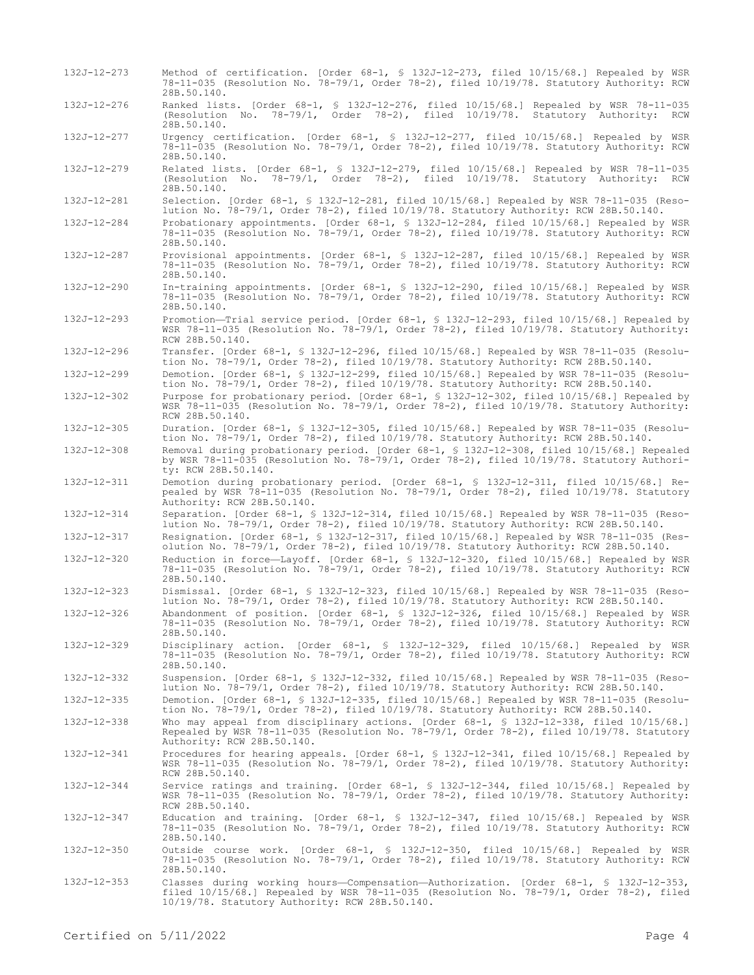- 132J-12-273 Method of certification. [Order 68-1, § 132J-12-273, filed 10/15/68.] Repealed by WSR 78-11-035 (Resolution No. 78-79/1, Order 78-2), filed 10/19/78. Statutory Authority: RCW 28B.50.140.
- 132J-12-276 Ranked lists. [Order 68-1, § 132J-12-276, filed 10/15/68.] Repealed by WSR 78-11-035 (Resolution No. 78-79/1, Order 78-2), filed 10/19/78. Statutory Authority: RCW 28B.50.140.
- 132J-12-277 Urgency certification. [Order 68-1, § 132J-12-277, filed 10/15/68.] Repealed by WSR 78-11-035 (Resolution No. 78-79/1, Order 78-2), filed 10/19/78. Statutory Authority: RCW 28B.50.140.

132J-12-279 Related lists. [Order 68-1, § 132J-12-279, filed 10/15/68.] Repealed by WSR 78-11-035 (Resolution No. 78-79/1, Order 78-2), filed 10/19/78. Statutory Authority: RCW 28B.50.140.

- 132J-12-281 Selection. [Order 68-1, § 132J-12-281, filed 10/15/68.] Repealed by WSR 78-11-035 (Resolution No. 78-79/1, Order 78-2), filed 10/19/78. Statutory Authority: RCW 28B.50.140.
- 132J-12-284 Probationary appointments. [Order 68-1, § 132J-12-284, filed 10/15/68.] Repealed by WSR 78-11-035 (Resolution No. 78-79/1, Order 78-2), filed 10/19/78. Statutory Authority: RCW 28B.50.140.
- 132J-12-287 Provisional appointments. [Order 68-1, § 132J-12-287, filed 10/15/68.] Repealed by WSR 78-11-035 (Resolution No. 78-79/1, Order 78-2), filed 10/19/78. Statutory Authority: RCW 28B.50.140.
- 132J-12-290 In-training appointments. [Order 68-1, § 132J-12-290, filed 10/15/68.] Repealed by WSR 78-11-035 (Resolution No. 78-79/1, Order 78-2), filed 10/19/78. Statutory Authority: RCW 28B.50.140.
- 132J-12-293 Promotion—Trial service period. [Order 68-1, § 132J-12-293, filed 10/15/68.] Repealed by WSR 78-11-035 (Resolution No. 78-79/1, Order 78-2), filed 10/19/78. Statutory Authority: RCW 28B.50.140.
- 132J-12-296 Transfer. [Order 68-1, § 132J-12-296, filed 10/15/68.] Repealed by WSR 78-11-035 (Resolution No. 78-79/1, Order 78-2), filed 10/19/78. Statutory Authority: RCW 28B.50.140.
- 132J-12-299 Demotion. [Order 68-1, § 132J-12-299, filed 10/15/68.] Repealed by WSR 78-11-035 (Resolution No. 78-79/1, Order 78-2), filed 10/19/78. Statutory Authority: RCW 28B.50.140.
- 132J-12-302 Purpose for probationary period. [Order 68-1, § 132J-12-302, filed 10/15/68.] Repealed by WSR 78-11-035 (Resolution No. 78-79/1, Order 78-2), filed 10/19/78. Statutory Authority: RCW 28B.50.140.
- 132J-12-305 Duration. [Order 68-1, § 132J-12-305, filed 10/15/68.] Repealed by WSR 78-11-035 (Resolution No. 78-79/1, Order 78-2), filed 10/19/78. Statutory Authority: RCW 28B.50.140.
- 132J-12-308 Removal during probationary period. [Order 68-1, § 132J-12-308, filed 10/15/68.] Repealed by WSR 78-11-035 (Resolution No. 78-79/1, Order 78-2), filed 10/19/78. Statutory Authority: RCW 28B.50.140.
- 132J-12-311 Demotion during probationary period. [Order 68-1, § 132J-12-311, filed 10/15/68.] Repealed by WSR 78-11-035 (Resolution No. 78-79/1, Order 78-2), filed 10/19/78. Statutory Authority: RCW 28B.50.140.
- 132J-12-314 Separation. [Order 68-1, § 132J-12-314, filed 10/15/68.] Repealed by WSR 78-11-035 (Resolution No. 78-79/1, Order 78-2), filed 10/19/78. Statutory Authority: RCW 28B.50.140.
- 132J-12-317 Resignation. [Order 68-1, § 132J-12-317, filed 10/15/68.] Repealed by WSR 78-11-035 (Resolution No. 78-79/1, Order 78-2), filed 10/19/78. Statutory Authority: RCW 28B.50.140.
- 132J-12-320 Reduction in force—Layoff. [Order 68-1, § 132J-12-320, filed 10/15/68.] Repealed by WSR 78-11-035 (Resolution No. 78-79/1, Order 78-2), filed 10/19/78. Statutory Authority: RCW 28B.50.140.
- 132J-12-323 Dismissal. [Order 68-1, § 132J-12-323, filed 10/15/68.] Repealed by WSR 78-11-035 (Resolution No. 78-79/1, Order 78-2), filed 10/19/78. Statutory Authority: RCW 28B.50.140.
- 132J-12-326 Abandonment of position. [Order 68-1, § 132J-12-326, filed 10/15/68.] Repealed by WSR 78-11-035 (Resolution No. 78-79/1, Order 78-2), filed 10/19/78. Statutory Authority: RCW 28B.50.140.
- 132J-12-329 Disciplinary action. [Order 68-1, § 132J-12-329, filed 10/15/68.] Repealed by WSR 78-11-035 (Resolution No. 78-79/1, Order 78-2), filed 10/19/78. Statutory Authority: RCW 28B.50.140.
- 132J-12-332 Suspension. [Order 68-1, § 132J-12-332, filed 10/15/68.] Repealed by WSR 78-11-035 (Resolution No. 78-79/1, Order 78-2), filed 10/19/78. Statutory Authority: RCW 28B.50.140.
- 132J-12-335 Demotion. [Order 68-1, § 132J-12-335, filed 10/15/68.] Repealed by WSR 78-11-035 (Resolution No. 78-79/1, Order 78-2), filed 10/19/78. Statutory Authority: RCW 28B.50.140.

132J-12-338 Who may appeal from disciplinary actions. [Order 68-1, § 132J-12-338, filed 10/15/68.] Repealed by WSR 78-11-035 (Resolution No. 78-79/1, Order 78-2), filed 10/19/78. Statutory Authority: RCW 28B.50.140.

- 132J-12-341 Procedures for hearing appeals. [Order 68-1, § 132J-12-341, filed 10/15/68.] Repealed by WSR 78-11-035 (Resolution No. 78-79/1, Order 78-2), filed 10/19/78. Statutory Authority: RCW 28B.50.140.
- 132J-12-344 Service ratings and training. [Order 68-1, § 132J-12-344, filed 10/15/68.] Repealed by WSR 78-11-035 (Resolution No. 78-79/1, Order 78-2), filed 10/19/78. Statutory Authority: RCW 28B.50.140.
- 132J-12-347 Education and training. [Order 68-1, § 132J-12-347, filed 10/15/68.] Repealed by WSR 78-11-035 (Resolution No. 78-79/1, Order 78-2), filed 10/19/78. Statutory Authority: RCW 28B.50.140.
- 132J-12-350 Outside course work. [Order 68-1, § 132J-12-350, filed 10/15/68.] Repealed by WSR 78-11-035 (Resolution No. 78-79/1, Order 78-2), filed 10/19/78. Statutory Authority: RCW 28B.50.140.
- 132J-12-353 Classes during working hours—Compensation—Authorization. [Order 68-1, § 132J-12-353, filed 10/15/68.] Repealed by WSR 78-11-035 (Resolution No. 78-79/1, Order 78-2), filed 10/19/78. Statutory Authority: RCW 28B.50.140.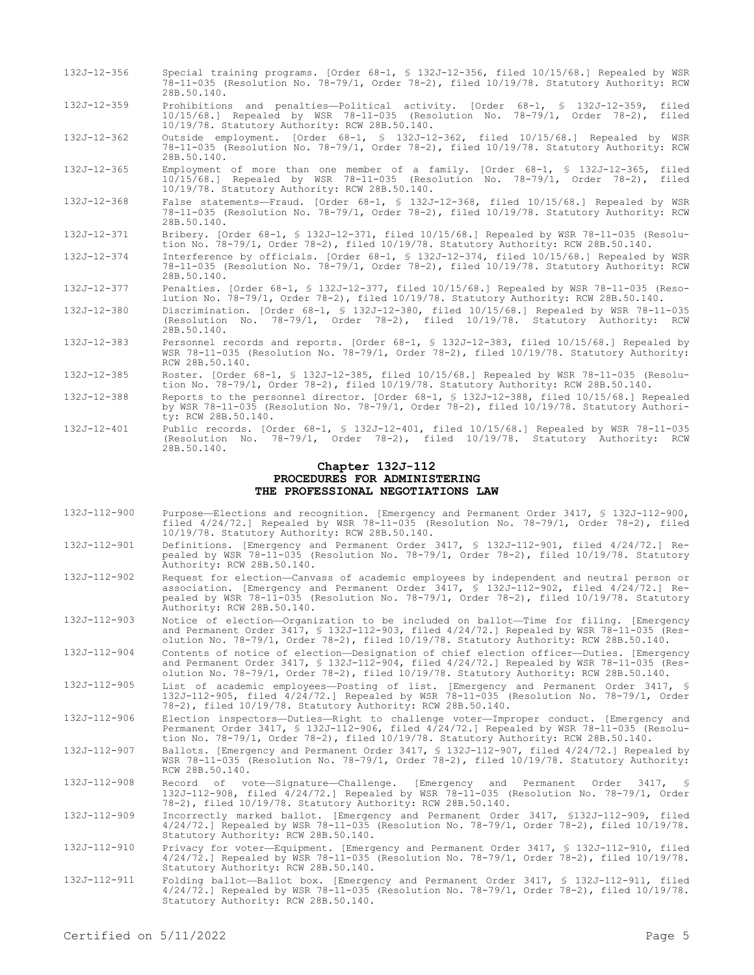- 132J-12-356 Special training programs. [Order 68-1, § 132J-12-356, filed 10/15/68.] Repealed by WSR 78-11-035 (Resolution No. 78-79/1, Order 78-2), filed 10/19/78. Statutory Authority: RCW 28B.50.140. 132J-12-359 Prohibitions and penalties—Political activity. [Order 68-1, § 132J-12-359, filed
- 10/15/68.] Repealed by WSR 78-11-035 (Resolution No. 78-79/1, Order 78-2), filed 10/19/78. Statutory Authority: RCW 28B.50.140.
- 132J-12-362 Outside employment. [Order 68-1, § 132J-12-362, filed 10/15/68.] Repealed by WSR 78-11-035 (Resolution No. 78-79/1, Order 78-2), filed 10/19/78. Statutory Authority: RCW 28B.50.140.
- 132J-12-365 Employment of more than one member of a family. [Order 68-1, § 132J-12-365, filed 10/15/68.] Repealed by WSR 78-11-035 (Resolution No. 78-79/1, Order 78-2), filed 10/19/78. Statutory Authority: RCW 28B.50.140.
- 132J-12-368 False statements—Fraud. [Order 68-1, § 132J-12-368, filed 10/15/68.] Repealed by WSR 78-11-035 (Resolution No. 78-79/1, Order 78-2), filed 10/19/78. Statutory Authority: RCW 28B.50.140.
- 132J-12-371 Bribery. [Order 68-1, § 132J-12-371, filed 10/15/68.] Repealed by WSR 78-11-035 (Resolution No. 78-79/1, Order 78-2), filed 10/19/78. Statutory Authority: RCW 28B.50.140.
- 132J-12-374 Interference by officials. [Order 68-1, § 132J-12-374, filed 10/15/68.] Repealed by WSR 78-11-035 (Resolution No. 78-79/1, Order 78-2), filed 10/19/78. Statutory Authority: RCW 28B.50.140.
- 132J-12-377 Penalties. [Order 68-1, § 132J-12-377, filed 10/15/68.] Repealed by WSR 78-11-035 (Resolution No. 78-79/1, Order 78-2), filed 10/19/78. Statutory Authority: RCW 28B.50.140.
- 132J-12-380 Discrimination. [Order 68-1, § 132J-12-380, filed 10/15/68.] Repealed by WSR 78-11-035 (Resolution No. 78-79/1, Order 78-2), filed 10/19/78. Statutory Authority: RCW 28B.50.140.
- 132J-12-383 Personnel records and reports. [Order 68-1, § 132J-12-383, filed 10/15/68.] Repealed by WSR 78-11-035 (Resolution No. 78-79/1, Order 78-2), filed 10/19/78. Statutory Authority: RCW 28B.50.140.
- 132J-12-385 Roster. [Order 68-1, § 132J-12-385, filed 10/15/68.] Repealed by WSR 78-11-035 (Resolution No. 78-79/1, Order 78-2), filed 10/19/78. Statutory Authority: RCW 28B.50.140.
- 132J-12-388 Reports to the personnel director. [Order 68-1, § 132J-12-388, filed 10/15/68.] Repealed by WSR 78-11-035 (Resolution No. 78-79/1, Order 78-2), filed 10/19/78. Statutory Authority: RCW 28B.50.140.
- 132J-12-401 Public records. [Order 68-1, § 132J-12-401, filed 10/15/68.] Repealed by WSR 78-11-035 (Resolution No. 78-79/1, Order 78-2), filed 10/19/78. Statutory Authority: RCW 28B.50.140.

### **Chapter 132J-112 PROCEDURES FOR ADMINISTERING THE PROFESSIONAL NEGOTIATIONS LAW**

- 132J-112-900 Purpose—Elections and recognition. [Emergency and Permanent Order 3417, § 132J-112-900, filed 4/24/72.] Repealed by WSR 78-11-035 (Resolution No. 78-79/1, Order 78-2), filed 10/19/78. Statutory Authority: RCW 28B.50.140.
- 132J-112-901 Definitions. [Emergency and Permanent Order 3417, § 132J-112-901, filed 4/24/72.] Repealed by WSR 78-11-035 (Resolution No. 78-79/1, Order 78-2), filed 10/19/78. Statutory Authority: RCW 28B.50.140.
- 132J-112-902 Request for election—Canvass of academic employees by independent and neutral person or association. [Emergency and Permanent Order 3417, § 132J-112-902, filed 4/24/72.] Repealed by WSR 78-11-035 (Resolution No. 78-79/1, Order 78-2), filed 10/19/78. Statutory Authority: RCW 28B.50.140.
- 132J-112-903 Notice of election—Organization to be included on ballot—Time for filing. [Emergency and Permanent Order 3417, § 132J-112-903, filed 4/24/72.] Repealed by WSR 78-11-035 (Resolution No. 78-79/1, Order 78-2), filed 10/19/78. Statutory Authority: RCW 28B.50.140.
- 132J-112-904 Contents of notice of election—Designation of chief election officer—Duties. [Emergency and Permanent Order 3417, § 132J-112-904, filed 4/24/72.] Repealed by WSR 78-11-035 (Resolution No. 78-79/1, Order 78-2), filed 10/19/78. Statutory Authority: RCW 28B.50.140.
- 132J-112-905 List of academic employees—Posting of list. [Emergency and Permanent Order 3417, § 132J-112-905, filed 4/24/72.] Repealed by WSR 78-11-035 (Resolution No. 78-79/1, Order 78-2), filed 10/19/78. Statutory Authority: RCW 28B.50.140.
- 132J-112-906 Election inspectors—Duties—Right to challenge voter—Improper conduct. [Emergency and Permanent Order 3417, § 132J-112-906, filed 4/24/72.] Repealed by WSR 78-11-035 (Resolution No. 78-79/1, Order 78-2), filed 10/19/78. Statutory Authority: RCW 28B.50.140.
- 132J-112-907 Ballots. [Emergency and Permanent Order 3417, § 132J-112-907, filed 4/24/72.] Repealed by WSR 78-11-035 (Resolution No. 78-79/1, Order 78-2), filed 10/19/78. Statutory Authority: RCW 28B.50.140.
- 132J-112-908 Record of vote—Signature—Challenge. [Emergency and Permanent Order 3417, § 132J-112-908, filed 4/24/72.] Repealed by WSR 78-11-035 (Resolution No. 78-79/1, Order 78-2), filed 10/19/78. Statutory Authority: RCW 28B.50.140.
- 132J-112-909 Incorrectly marked ballot. [Emergency and Permanent Order 3417, §132J-112-909, filed 4/24/72.] Repealed by WSR 78-11-035 (Resolution No. 78-79/1, Order 78-2), filed 10/19/78. Statutory Authority: RCW 28B.50.140.
- 132J-112-910 Privacy for voter—Equipment. [Emergency and Permanent Order 3417, § 132J-112-910, filed 4/24/72.] Repealed by WSR 78-11-035 (Resolution No. 78-79/1, Order 78-2), filed 10/19/78. Statutory Authority: RCW 28B.50.140.
- 132J-112-911 Folding ballot—Ballot box. [Emergency and Permanent Order 3417, § 132J-112-911, filed 4/24/72.] Repealed by WSR 78-11-035 (Resolution No. 78-79/1, Order 78-2), filed 10/19/78. Statutory Authority: RCW 28B.50.140.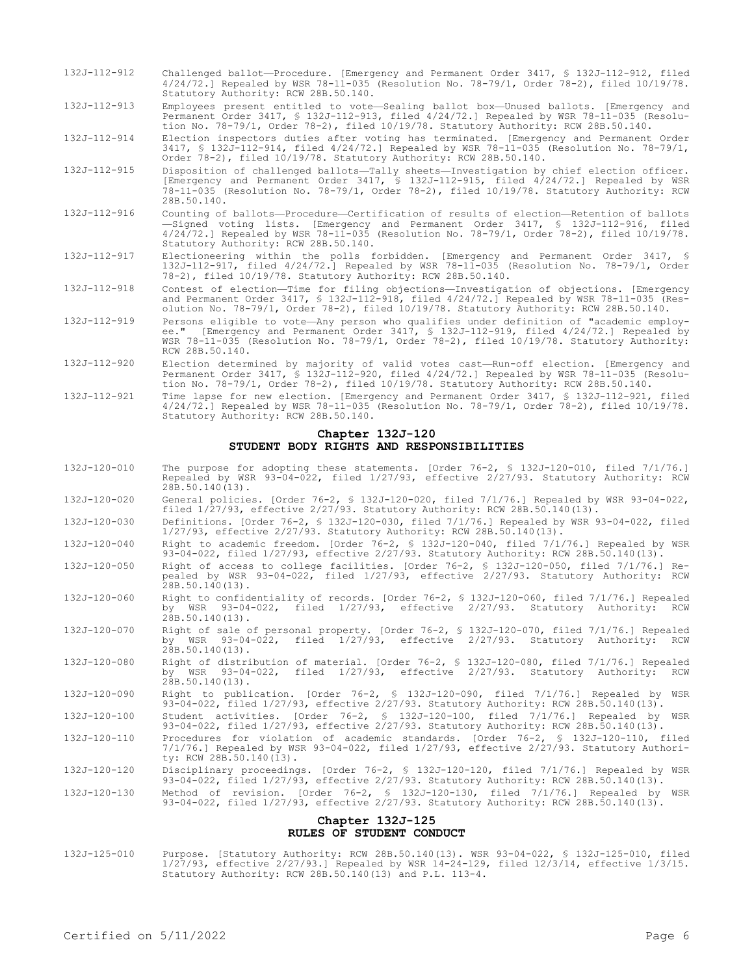- 132J-112-912 Challenged ballot—Procedure. [Emergency and Permanent Order 3417, § 132J-112-912, filed 4/24/72.] Repealed by WSR 78-11-035 (Resolution No. 78-79/1, Order 78-2), filed 10/19/78. Statutory Authority: RCW 28B.50.140.
- 132J-112-913 Employees present entitled to vote—Sealing ballot box—Unused ballots. [Emergency and Permanent Order 3417, § 132J-112-913, filed 4/24/72.] Repealed by WSR 78-11-035 (Resolution No. 78-79/1, Order 78-2), filed 10/19/78. Statutory Authority: RCW 28B.50.140.

132J-112-914 Election inspectors duties after voting has terminated. [Emergency and Permanent Order 3417, § 132J-112-914, filed 4/24/72.] Repealed by WSR 78-11-035 (Resolution No. 78-79/1, Order 78-2), filed 10/19/78. Statutory Authority: RCW 28B.50.140.

132J-112-915 Disposition of challenged ballots—Tally sheets—Investigation by chief election officer. [Emergency and Permanent Order 3417, § 132J-112-915, filed 4/24/72.] Repealed by WSR 78-11-035 (Resolution No. 78-79/1, Order 78-2), filed 10/19/78. Statutory Authority: RCW 28B.50.140.

- 132J-112-916 Counting of ballots—Procedure—Certification of results of election—Retention of ballots —Signed voting lists. [Emergency and Permanent Order 3417, § 132J-112-916, filed 4/24/72.] Repealed by WSR 78-11-035 (Resolution No. 78-79/1, Order 78-2), filed 10/19/78. Statutory Authority: RCW 28B.50.140.
- 132J-112-917 Electioneering within the polls forbidden. [Emergency and Permanent Order 3417, § 132J-112-917, filed 4/24/72.] Repealed by WSR 78-11-035 (Resolution No. 78-79/1, Order 78-2), filed 10/19/78. Statutory Authority: RCW 28B.50.140.
- 132J-112-918 Contest of election—Time for filing objections—Investigation of objections. [Emergency and Permanent Order 3417, § 132J-112-918, filed 4/24/72.] Repealed by WSR 78-11-035 (Resolution No. 78-79/1, Order 78-2), filed 10/19/78. Statutory Authority: RCW 28B.50.140.
- 132J-112-919 Persons eligible to vote—Any person who qualifies under definition of "academic employee." [Emergency and Permanent Order 3417, § 132J-112-919, filed 4/24/72.] Repealed by WSR 78-11-035 (Resolution No. 78-79/1, Order 78-2), filed 10/19/78. Statutory Authority: RCW 28B.50.140.
- 132J-112-920 Election determined by majority of valid votes cast—Run-off election. [Emergency and Permanent Order 3417, § 132J-112-920, filed 4/24/72.] Repealed by WSR 78-11-035 (Resolution No. 78-79/1, Order 78-2), filed 10/19/78. Statutory Authority: RCW 28B.50.140.

132J-112-921 Time lapse for new election. [Emergency and Permanent Order 3417, § 132J-112-921, filed 4/24/72.] Repealed by WSR 78-11-035 (Resolution No. 78-79/1, Order 78-2), filed 10/19/78. Statutory Authority: RCW 28B.50.140.

# **Chapter 132J-120 STUDENT BODY RIGHTS AND RESPONSIBILITIES**

- 132J-120-010 The purpose for adopting these statements. [Order 76-2, § 132J-120-010, filed 7/1/76.] Repealed by WSR 93-04-022, filed 1/27/93, effective 2/27/93. Statutory Authority: RCW  $28B.50.140(13)$ .
- 132J-120-020 General policies. [Order 76-2, § 132J-120-020, filed 7/1/76.] Repealed by WSR 93-04-022, filed 1/27/93, effective 2/27/93. Statutory Authority: RCW 28B.50.140(13).
- 132J-120-030 Definitions. [Order 76-2, § 132J-120-030, filed 7/1/76.] Repealed by WSR 93-04-022, filed 1/27/93, effective 2/27/93. Statutory Authority: RCW 28B.50.140(13).

132J-120-040 Right to academic freedom. [Order 76-2, § 132J-120-040, filed 7/1/76.] Repealed by WSR 93-04-022, filed 1/27/93, effective 2/27/93. Statutory Authority: RCW 28B.50.140(13).

- 132J-120-050 Right of access to college facilities. [Order 76-2, § 132J-120-050, filed 7/1/76.] Repealed by WSR 93-04-022, filed 1/27/93, effective 2/27/93. Statutory Authority: RCW  $28B.50.140(13)$ .
- 132J-120-060 Right to confidentiality of records. [Order 76-2, § 132J-120-060, filed 7/1/76.] Repealed 93-04-022, filed  $1/27/93$ , effective  $2/27/93$ . Statutory Authority: RCW  $28B.50.140(13)$ .
- 132J-120-070 Right of sale of personal property. [Order 76-2, § 132J-120-070, filed 7/1/76.] Repealed by WSR 93-04-022, filed 1/27/93, effective 2/27/93. Statutory Authority: RCW 28B.50.140(13).
- 132J-120-080 Right of distribution of material. [Order 76-2, § 132J-120-080, filed 7/1/76.] Repealed by WSR 93-04-022, filed 1/27/93, effective 2/27/93. Statutory Authority: RCW 28B.50.140(13).
- 132J-120-090 Right to publication. [Order 76-2, § 132J-120-090, filed 7/1/76.] Repealed by WSR 93-04-022, filed 1/27/93, effective 2/27/93. Statutory Authority: RCW 28B.50.140(13).
- 132J-120-100 Student activities. [Order 76-2, § 132J-120-100, filed 7/1/76.] Repealed by WSR 93-04-022, filed 1/27/93, effective 2/27/93. Statutory Authority: RCW 28B.50.140(13).
- 132J-120-110 Procedures for violation of academic standards. [Order 76-2, § 132J-120-110, filed 7/1/76.] Repealed by WSR 93-04-022, filed 1/27/93, effective 2/27/93. Statutory Authority: RCW 28B.50.140(13).
- 132J-120-120 Disciplinary proceedings. [Order 76-2, § 132J-120-120, filed 7/1/76.] Repealed by WSR 93-04-022, filed 1/27/93, effective 2/27/93. Statutory Authority: RCW 28B.50.140(13).
- 132J-120-130 Method of revision. [Order 76-2, § 132J-120-130, filed 7/1/76.] Repealed by WSR 93-04-022, filed 1/27/93, effective 2/27/93. Statutory Authority: RCW 28B.50.140(13).

#### **Chapter 132J-125 RULES OF STUDENT CONDUCT**

132J-125-010 Purpose. [Statutory Authority: RCW 28B.50.140(13). WSR 93-04-022, § 132J-125-010, filed 1/27/93, effective 2/27/93.] Repealed by WSR 14-24-129, filed 12/3/14, effective 1/3/15. Statutory Authority: RCW 28B.50.140(13) and P.L. 113-4.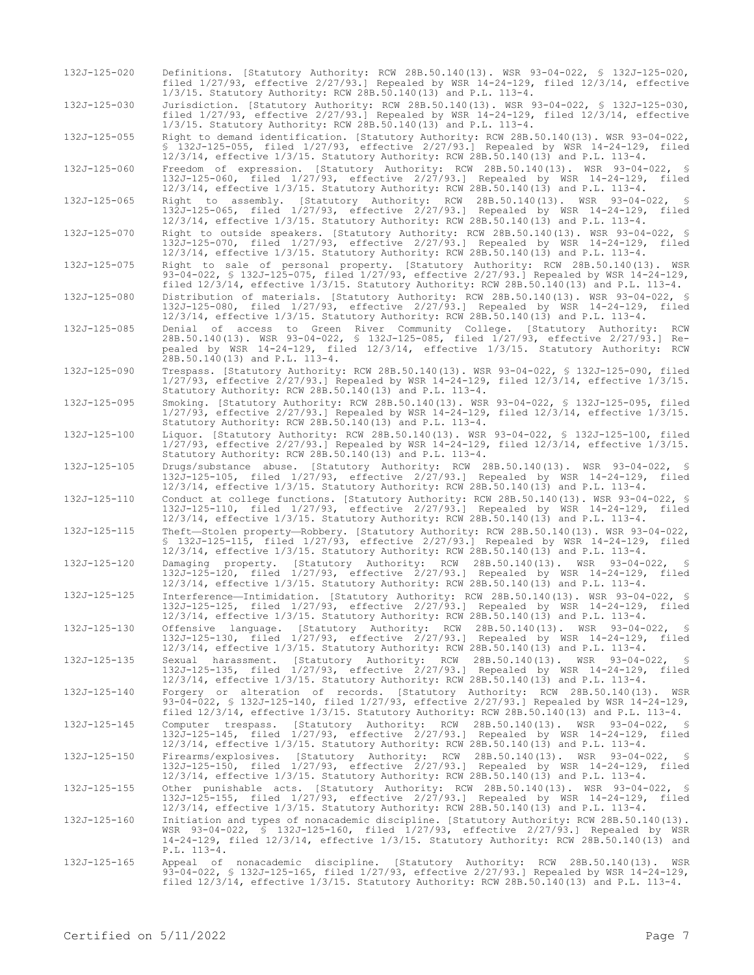| 132J-125-020 | Definitions. [Statutory Authority: RCW 28B.50.140(13). WSR 93-04-022, § 132J-125-020,<br>filed $1/27/93$ , effective $2/27/93$ . Repealed by WSR $14-24-129$ , filed $12/3/14$ , effective<br>$1/3/15$ . Statutory Authority: RCW 28B.50.140(13) and P.L. 113-4.                                                                                |
|--------------|-------------------------------------------------------------------------------------------------------------------------------------------------------------------------------------------------------------------------------------------------------------------------------------------------------------------------------------------------|
| 132J-125-030 | Jurisdiction. [Statutory Authority: RCW 28B.50.140(13). WSR 93-04-022, § 132J-125-030,<br>filed $1/27/93$ , effective $2/27/93$ . Repealed by WSR 14-24-129, filed $12/3/14$ , effective                                                                                                                                                        |
| 132J-125-055 | 1/3/15. Statutory Authority: RCW 28B.50.140(13) and P.L. 113-4.<br>Right to demand identification. [Statutory Authority: RCW 28B.50.140(13). WSR 93-04-022,<br>\$ 132J-125-055, filed 1/27/93, effective 2/27/93.1 Repealed by WSR 14-24-129, filed<br>$12/3/14$ , effective $1/3/15$ . Statutory Authority: RCW 28B.50.140(13) and P.L. 113-4. |
| 132J-125-060 | Freedom of expression. [Statutory Authority: RCW 28B.50.140(13). WSR 93-04-022, §<br>132J-125-060, filed 1/27/93, effective 2/27/93.] Repealed by WSR 14-24-129, filed<br>$12/3/14$ , effective $1/3/15$ . Statutory Authority: RCW 28B.50.140(13) and P.L. 113-4.                                                                              |
| 132J-125-065 | Right to assembly. [Statutory Authority: RCW 28B.50.140(13). WSR 93-04-022,<br>- 5<br>132J-125-065, filed 1/27/93, effective 2/27/93.] Repealed by WSR 14-24-129, filed<br>$12/3/14$ , effective $1/3/15$ . Statutory Authority: RCW 28B.50.140(13) and P.L. 113-4.                                                                             |
| 132J-125-070 | Right to outside speakers. [Statutory Authority: RCW 28B.50.140(13). WSR 93-04-022, §<br>132J-125-070, filed 1/27/93, effective 2/27/93.] Repealed by WSR 14-24-129, filed<br>$12/3/14$ , effective $1/3/15$ . Statutory Authority: RCW 28B.50.140(13) and P.L. 113-4.                                                                          |
| 132J-125-075 | Right to sale of personal property. [Statutory Authority: RCW 28B.50.140(13). WSR<br>93-04-022, § 132J-125-075, filed 1/27/93, effective 2/27/93.] Repealed by WSR 14-24-129,<br>filed $12/3/14$ , effective $1/3/15$ . Statutory Authority: RCW 28B.50.140(13) and P.L. 113-4.                                                                 |
| 132J-125-080 | Distribution of materials. [Statutory Authority: RCW 28B.50.140(13). WSR 93-04-022, §<br>132J-125-080, filed 1/27/93, effective 2/27/93.] Repealed by WSR 14-24-129, filed<br>$12/3/14$ , effective $1/3/15$ . Statutory Authority: RCW 28B.50.140(13) and P.L. 113-4.                                                                          |
| 132J-125-085 | Denial of access to Green River Community College. [Statutory Authority:<br>RCW<br>28B.50.140(13). WSR 93-04-022, § 132J-125-085, filed 1/27/93, effective 2/27/93.] Re-<br>pealed by WSR 14-24-129, filed 12/3/14, effective 1/3/15. Statutory Authority: RCW<br>28B.50.140(13) and P.L. 113-4.                                                |
| 132J-125-090 | Trespass. [Statutory Authority: RCW 28B.50.140(13). WSR 93-04-022, § 132J-125-090, filed<br>$1/27/93$ , effective $2/27/93$ .] Repealed by WSR 14-24-129, filed $12/3/14$ , effective $1/3/15$ .<br>Statutory Authority: RCW 28B.50.140(13) and P.L. 113-4.                                                                                     |
| 132J-125-095 | Smoking. [Statutory Authority: RCW 28B.50.140(13). WSR 93-04-022, § 132J-125-095, filed<br>$1/27/93$ , effective $2/27/93$ . Repealed by WSR 14-24-129, filed $12/3/14$ , effective $1/3/15$ .<br>Statutory Authority: RCW 28B.50.140(13) and P.L. 113-4.                                                                                       |
| 132J-125-100 | Liquor. [Statutory Authority: RCW 28B.50.140(13). WSR 93-04-022, § 132J-125-100, filed<br>$1/27/93$ , effective $2/27/93$ .] Repealed by WSR 14-24-129, filed $12/3/14$ , effective $1/3/15$ .<br>Statutory Authority: RCW 28B.50.140(13) and P.L. 113-4.                                                                                       |
| 132J-125-105 | Drugs/substance abuse. [Statutory Authority: RCW 28B.50.140(13). WSR 93-04-022, §<br>132J-125-105, filed 1/27/93, effective 2/27/93.] Repealed by WSR 14-24-129, filed<br>$12/3/14$ , effective $1/3/15$ . Statutory Authority: RCW 28B.50.140(13) and P.L. 113-4.                                                                              |
| 132J-125-110 | Conduct at college functions. [Statutory Authority: RCW 28B.50.140(13). WSR 93-04-022, §<br>132J-125-110, filed 1/27/93, effective 2/27/93.] Repealed by WSR 14-24-129, filed<br>$12/3/14$ , effective $1/3/15$ . Statutory Authority: RCW 28B.50.140(13) and P.L. 113-4.                                                                       |
| 132J-125-115 | Theft-Stolen property-Robbery. [Statutory Authority: RCW 28B.50.140(13). WSR 93-04-022,<br>\$ 132J-125-115, filed 1/27/93, effective 2/27/93.] Repealed by WSR 14-24-129, filed<br>12/3/14, effective 1/3/15. Statutory Authority: RCW 28B.50.140(13) and P.L. 113-4.                                                                           |
| 132J-125-120 | Damaging property. [Statutory Authority: RCW 28B.50.140(13). WSR 93-04-022,<br>- 8<br>132J-125-120, filed 1/27/93, effective 2/27/93.] Repealed by WSR 14-24-129, filed<br>12/3/14, effective 1/3/15. Statutory Authority: RCW 28B.50.140(13) and P.L. 113-4.                                                                                   |
| 132J-125-125 | Interference—Intimidation. [Statutory Authority: RCW 28B.50.140(13). WSR 93-04-022, §<br>132J-125-125, filed 1/27/93, effective 2/27/93.] Repealed by WSR 14-24-129, filed<br>$12/3/14$ , effective $1/3/15$ . Statutory Authority: RCW 28B.50.140(13) and P.L. 113-4.                                                                          |
| 132J-125-130 | Offensive language. [Statutory Authority: RCW 28B.50.140(13). WSR 93-04-022, \$<br>132J-125-130, filed 1/27/93, effective 2/27/93.] Repealed by WSR 14-24-129, filed<br>12/3/14, effective 1/3/15. Statutory Authority: RCW 28B.50.140(13) and P.L. 113-4.                                                                                      |
| 132J-125-135 | Sexual harassment. [Statutory Authority: RCW 28B.50.140(13). WSR 93-04-022, §<br>132J-125-135, filed 1/27/93, effective 2/27/93.] Repealed by WSR 14-24-129, filed<br>$12/3/14$ , effective $1/3/15$ . Statutory Authority: RCW 28B.50.140(13) and P.L. 113-4.                                                                                  |
| 132J-125-140 | Forgery or alteration of records. [Statutory Authority: RCW 28B.50.140(13). WSR<br>93-04-022, § 132J-125-140, filed 1/27/93, effective 2/27/93.] Repealed by WSR 14-24-129,<br>filed $12/3/14$ , effective $1/3/15$ . Statutory Authority: RCW 28B.50.140(13) and P.L. 113-4.                                                                   |
| 132J-125-145 | Computer trespass. [Statutory Authority: RCW 28B.50.140(13). WSR 93-04-022, §<br>132J-125-145, filed 1/27/93, effective 2/27/93.] Repealed by WSR 14-24-129, filed<br>$12/3/14$ , effective $1/3/15$ . Statutory Authority: RCW 28B.50.140(13) and P.L. 113-4.                                                                                  |
| 132J-125-150 | Firearms/explosives. [Statutory Authority: RCW 28B.50.140(13). WSR 93-04-022,<br>- 8<br>132J-125-150, filed 1/27/93, effective 2/27/93.] Repealed by WSR 14-24-129, filed<br>$12/3/14$ , effective $1/3/15$ . Statutory Authority: RCW 28B.50.140(13) and P.L. 113-4.                                                                           |
| 132J-125-155 | Other punishable acts. [Statutory Authority: RCW 28B.50.140(13). WSR 93-04-022, §<br>132J-125-155, filed 1/27/93, effective 2/27/93.] Repealed by WSR 14-24-129, filed<br>$12/3/14$ , effective $1/3/15$ . Statutory Authority: RCW 28B.50.140(13) and P.L. 113-4.                                                                              |
| 132J-125-160 | Initiation and types of nonacademic discipline. [Statutory Authority: RCW 28B.50.140(13).<br>WSR 93-04-022, § 132J-125-160, filed 1/27/93, effective 2/27/93.] Repealed by WSR<br>14-24-129, filed 12/3/14, effective 1/3/15. Statutory Authority: RCW 28B.50.140(13) and<br>$P.L. 113-4.$                                                      |
| 132J-125-165 | Appeal of nonacademic discipline. [Statutory Authority: RCW 28B.50.140(13). WSR<br>93-04-022, § 132J-125-165, filed 1/27/93, effective 2/27/93.] Repealed by WSR 14-24-129,<br>filed $12/3/14$ , effective $1/3/15$ . Statutory Authority: RCW 28B.50.140(13) and P.L. 113-4.                                                                   |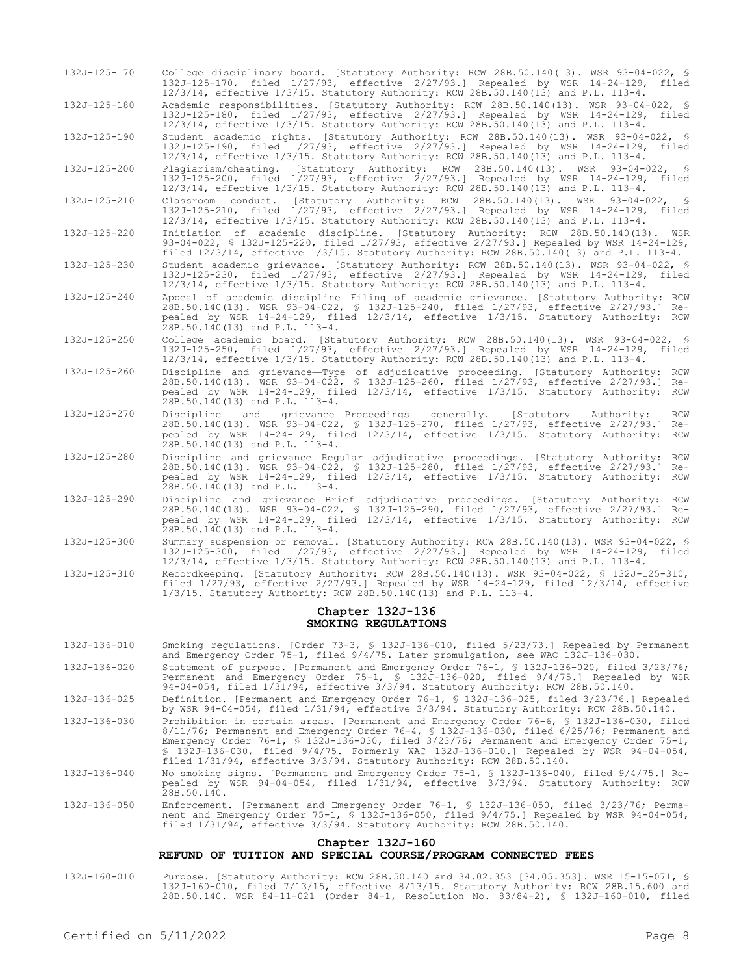| 132J-125-170       | College disciplinary board. [Statutory Authority: RCW 28B.50.140(13). WSR 93-04-022, \$<br>132J-125-170, filed 1/27/93, effective 2/27/93.] Repealed by WSR 14-24-129, filed<br>12/3/14, effective 1/3/15. Statutory Authority: RCW 28B.50.140(13) and P.L. 113-4.                                         |
|--------------------|------------------------------------------------------------------------------------------------------------------------------------------------------------------------------------------------------------------------------------------------------------------------------------------------------------|
| 132J-125-180       | Academic responsibilities. [Statutory Authority: RCW 28B.50.140(13). WSR 93-04-022, §<br>132J-125-180, filed 1/27/93, effective 2/27/93.] Repealed by WSR 14-24-129, filed<br>12/3/14, effective 1/3/15. Statutory Authority: RCW 28B.50.140(13) and P.L. 113-4.                                           |
| 132J-125-190       | Student academic rights. [Statutory Authority: RCW 28B.50.140(13). WSR 93-04-022, §<br>132J-125-190, filed 1/27/93, effective 2/27/93.] Repealed by WSR 14-24-129, filed<br>12/3/14, effective 1/3/15. Statutory Authority: RCW 28B.50.140(13) and P.L. 113-4.                                             |
| 132J-125-200       | Plagiarism/cheating. [Statutory Authority: RCW 28B.50.140(13). WSR 93-04-022, §<br>132J-125-200, filed 1/27/93, effective 2/27/93.] Repealed by WSR 14-24-129, filed<br>12/3/14, effective 1/3/15. Statutory Authority: RCW 28B.50.140(13) and P.L. 113-4.                                                 |
| 132J-125-210       | Classroom conduct. [Statutory Authority: RCW 28B.50.140(13). WSR 93-04-022,<br>- 8<br>132J-125-210, filed 1/27/93, effective 2/27/93.] Repealed by WSR 14-24-129, filed<br>12/3/14, effective 1/3/15. Statutory Authority: RCW 28B.50.140(13) and P.L. 113-4.                                              |
| $132J - 125 - 220$ | Initiation of academic discipline. [Statutory Authority: RCW 28B.50.140(13). WSR<br>93-04-022, § 132J-125-220, filed 1/27/93, effective 2/27/93.] Repealed by WSR 14-24-129,<br>filed $12/3/14$ , effective $1/3/15$ . Statutory Authority: RCW 28B.50.140(13) and P.L. 113-4.                             |
| 132J-125-230       | Student academic grievance. [Statutory Authority: RCW 28B.50.140(13). WSR 93-04-022, §<br>132J-125-230, filed 1/27/93, effective 2/27/93.1 Repealed by WSR 14-24-129, filed<br>12/3/14, effective 1/3/15. Statutory Authority: RCW 28B.50.140(13) and P.L. 113-4.                                          |
| 132J-125-240       | Appeal of academic discipline-Filing of academic grievance. [Statutory Authority: RCW<br>28B.50.140(13). WSR 93-04-022, § 132J-125-240, filed 1/27/93, effective 2/27/93.] Re-<br>pealed by WSR 14-24-129, filed 12/3/14, effective 1/3/15. Statutory Authority: RCW<br>28B.50.140(13) and P.L. 113-4.     |
| 132J-125-250       | College academic board. [Statutory Authority: RCW 28B.50.140(13). WSR 93-04-022, §<br>132J-125-250, filed 1/27/93, effective 2/27/93.] Repealed by WSR 14-24-129, filed<br>12/3/14, effective 1/3/15. Statutory Authority: RCW 28B.50.140(13) and P.L. 113-4.                                              |
| 132J-125-260       | Discipline and grievance-Type of adjudicative proceeding. [Statutory Authority: RCW<br>28B.50.140(13). WSR 93-04-022, § 132J-125-260, filed 1/27/93, effective 2/27/93.] Re-<br>pealed by WSR 14-24-129, filed 12/3/14, effective 1/3/15. Statutory Authority: RCW<br>28B.50.140(13) and P.L. 113-4.       |
| 132J-125-270       | Discipline and grievance-Proceedings generally. [Statutory Authority:<br>RCW<br>28B.50.140(13). WSR 93-04-022, \$ 132J-125-270, filed 1/27/93, effective 2/27/93.]<br>$Re-$<br>pealed by WSR 14-24-129, filed 12/3/14, effective 1/3/15. Statutory Authority: RCW<br>28B.50.140(13) and P.L. 113-4.        |
| 132J-125-280       | Discipline and grievance—Regular adjudicative proceedings. [Statutory Authority: RCW<br>28B.50.140(13). WSR 93-04-022, § 132J-125-280, filed 1/27/93, effective 2/27/93.1<br>$Re-$<br>pealed by WSR 14-24-129, filed 12/3/14, effective 1/3/15. Statutory Authority: RCW<br>28B.50.140(13) and P.L. 113-4. |
| 132J-125-290       | Discipline and grievance-Brief adjudicative proceedings. [Statutory Authority:<br>RCW<br>28B.50.140(13). WSR 93-04-022, § 132J-125-290, filed 1/27/93, effective 2/27/93.] Re-<br>pealed by WSR 14-24-129, filed 12/3/14, effective 1/3/15. Statutory Authority: RCW<br>28B.50.140(13) and P.L. 113-4.     |

132J-125-300 Summary suspension or removal. [Statutory Authority: RCW 28B.50.140(13). WSR 93-04-022, § 132J-125-300, filed 1/27/93, effective 2/27/93.] Repealed by WSR 14-24-129, filed 12/3/14, effective 1/3/15. Statutory Authority: RCW 28B.50.140(13) and P.L. 113-4.

132J-125-310 Recordkeeping. [Statutory Authority: RCW 28B.50.140(13). WSR 93-04-022, § 132J-125-310, filed 1/27/93, effective 2/27/93.] Repealed by WSR 14-24-129, filed 12/3/14, effective 1/3/15. Statutory Authority: RCW 28B.50.140(13) and P.L. 113-4.

#### **Chapter 132J-136 SMOKING REGULATIONS**

- 132J-136-010 Smoking regulations. [Order 73-3, § 132J-136-010, filed 5/23/73.] Repealed by Permanent and Emergency Order 75-1, filed 9/4/75. Later promulgation, see WAC 132J-136-030. 132J-136-020 Statement of purpose. [Permanent and Emergency Order 76-1, § 132J-136-020, filed 3/23/76;
- Permanent and Emergency Order 75-1, § 132J-136-020, filed 9/4/75.] Repealed by WSR 94-04-054, filed 1/31/94, effective 3/3/94. Statutory Authority: RCW 28B.50.140. 132J-136-025 Definition. [Permanent and Emergency Order 76-1, § 132J-136-025, filed 3/23/76.] Repealed
- by WSR 94-04-054, filed 1/31/94, effective 3/3/94. Statutory Authority: RCW 28B.50.140.
- 132J-136-030 Prohibition in certain areas. [Permanent and Emergency Order 76-6, § 132J-136-030, filed 8/11/76; Permanent and Emergency Order 76-4, § 132J-136-030, filed 6/25/76; Permanent and Emergency Order 76-1, § 132J-136-030, filed 3/23/76; Permanent and Emergency Order 75-1, § 132J-136-030, filed 9/4/75. Formerly WAC 132J-136-010.] Repealed by WSR 94-04-054, filed 1/31/94, effective 3/3/94. Statutory Authority: RCW 28B.50.140.
- 132J-136-040 No smoking signs. [Permanent and Emergency Order 75-1, § 132J-136-040, filed 9/4/75.] Repealed by WSR 94-04-054, filed 1/31/94, effective 3/3/94. Statutory Authority: RCW 28B.50.140.
- 132J-136-050 Enforcement. [Permanent and Emergency Order 76-1, § 132J-136-050, filed 3/23/76; Permanent and Emergency Order 75-1, § 132J-136-050, filed 9/4/75.] Repealed by WSR 94-04-054, filed 1/31/94, effective 3/3/94. Statutory Authority: RCW 28B.50.140.

### **Chapter 132J-160**

#### **REFUND OF TUITION AND SPECIAL COURSE/PROGRAM CONNECTED FEES**

132J-160-010 Purpose. [Statutory Authority: RCW 28B.50.140 and 34.02.353 [34.05.353]. WSR 15-15-071, § 132J-160-010, filed 7/13/15, effective 8/13/15. Statutory Authority: RCW 28B.15.600 and 28B.50.140. WSR 84-11-021 (Order 84-1, Resolution No. 83/84-2), § 132J-160-010, filed